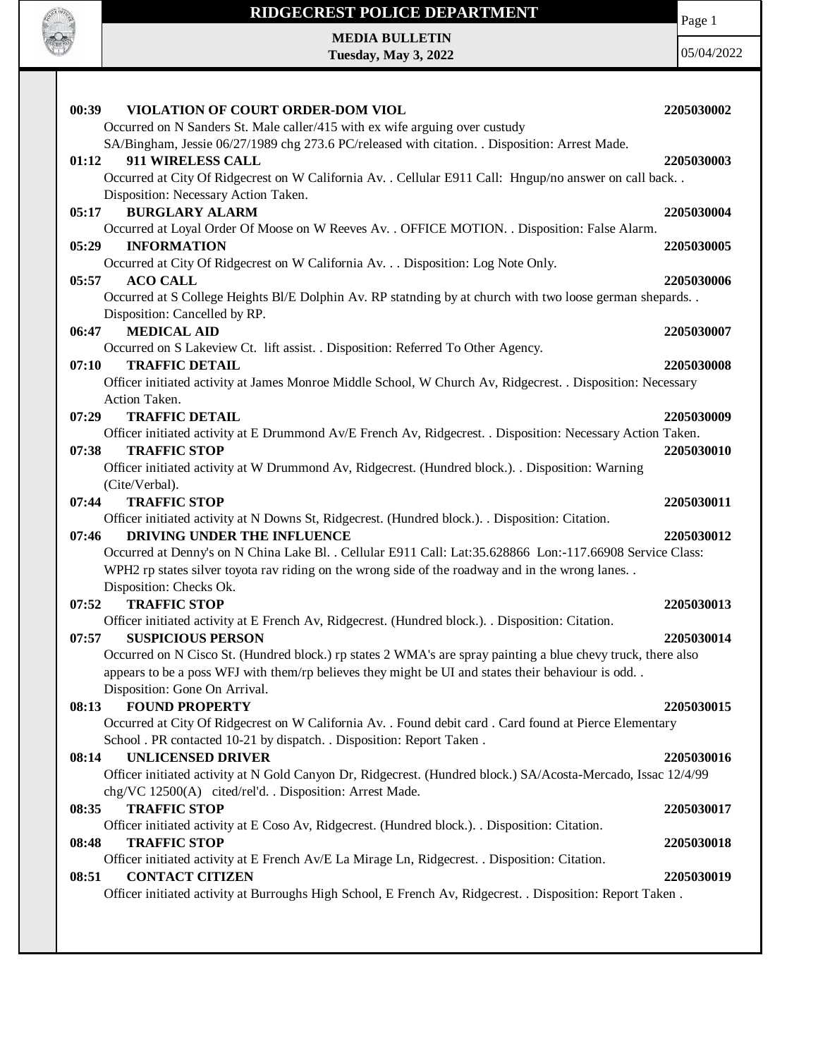

**Tuesday, May 3, 2022**

Page 1

| 00:39<br>VIOLATION OF COURT ORDER-DOM VIOL<br>Occurred on N Sanders St. Male caller/415 with ex wife arguing over custudy | 2205030002 |
|---------------------------------------------------------------------------------------------------------------------------|------------|
| SA/Bingham, Jessie 06/27/1989 chg 273.6 PC/released with citation. . Disposition: Arrest Made.                            |            |
| 911 WIRELESS CALL<br>01:12                                                                                                | 2205030003 |
| Occurred at City Of Ridgecrest on W California Av. . Cellular E911 Call: Hngup/no answer on call back. .                  |            |
| Disposition: Necessary Action Taken.                                                                                      |            |
| <b>BURGLARY ALARM</b><br>05:17                                                                                            | 2205030004 |
| Occurred at Loyal Order Of Moose on W Reeves Av. . OFFICE MOTION. . Disposition: False Alarm.                             |            |
| 05:29<br><b>INFORMATION</b>                                                                                               | 2205030005 |
| Occurred at City Of Ridgecrest on W California Av. Disposition: Log Note Only.                                            |            |
| <b>ACO CALL</b><br>05:57                                                                                                  | 2205030006 |
| Occurred at S College Heights Bl/E Dolphin Av. RP statnding by at church with two loose german shepards                   |            |
| Disposition: Cancelled by RP.                                                                                             |            |
| <b>MEDICAL AID</b><br>06:47                                                                                               | 2205030007 |
| Occurred on S Lakeview Ct. lift assist. . Disposition: Referred To Other Agency.                                          |            |
| <b>TRAFFIC DETAIL</b><br>07:10                                                                                            | 2205030008 |
| Officer initiated activity at James Monroe Middle School, W Church Av, Ridgecrest. . Disposition: Necessary               |            |
| Action Taken.                                                                                                             |            |
| <b>TRAFFIC DETAIL</b><br>07:29                                                                                            | 2205030009 |
| Officer initiated activity at E Drummond Av/E French Av, Ridgecrest. . Disposition: Necessary Action Taken.               |            |
| <b>TRAFFIC STOP</b><br>07:38                                                                                              | 2205030010 |
| Officer initiated activity at W Drummond Av, Ridgecrest. (Hundred block.). . Disposition: Warning                         |            |
| (Cite/Verbal).                                                                                                            |            |
| <b>TRAFFIC STOP</b><br>07:44                                                                                              | 2205030011 |
| Officer initiated activity at N Downs St, Ridgecrest. (Hundred block.). . Disposition: Citation.                          |            |
| DRIVING UNDER THE INFLUENCE<br>07:46                                                                                      | 2205030012 |
| Occurred at Denny's on N China Lake Bl. . Cellular E911 Call: Lat:35.628866 Lon:-117.66908 Service Class:                 |            |
| WPH2 rp states silver toyota rav riding on the wrong side of the roadway and in the wrong lanes. .                        |            |
| Disposition: Checks Ok.                                                                                                   |            |
| <b>TRAFFIC STOP</b><br>07:52                                                                                              | 2205030013 |
| Officer initiated activity at E French Av, Ridgecrest. (Hundred block.). . Disposition: Citation.                         |            |
| <b>SUSPICIOUS PERSON</b><br>07:57                                                                                         | 2205030014 |
| Occurred on N Cisco St. (Hundred block.) rp states 2 WMA's are spray painting a blue chevy truck, there also              |            |
| appears to be a poss WFJ with them/rp believes they might be UI and states their behaviour is odd                         |            |
| Disposition: Gone On Arrival.                                                                                             |            |
| <b>FOUND PROPERTY</b><br>08:13                                                                                            | 2205030015 |
| Occurred at City Of Ridgecrest on W California Av. . Found debit card . Card found at Pierce Elementary                   |            |
| School . PR contacted 10-21 by dispatch. . Disposition: Report Taken.                                                     |            |
| <b>UNLICENSED DRIVER</b><br>08:14                                                                                         | 2205030016 |
| Officer initiated activity at N Gold Canyon Dr, Ridgecrest. (Hundred block.) SA/Acosta-Mercado, Issac 12/4/99             |            |
| chg/VC 12500(A) cited/rel'd. . Disposition: Arrest Made.                                                                  |            |
| <b>TRAFFIC STOP</b><br>08:35                                                                                              | 2205030017 |
| Officer initiated activity at E Coso Av, Ridgecrest. (Hundred block.). . Disposition: Citation.                           |            |
| <b>TRAFFIC STOP</b><br>08:48                                                                                              | 2205030018 |
| Officer initiated activity at E French Av/E La Mirage Ln, Ridgecrest. . Disposition: Citation.                            |            |
| <b>CONTACT CITIZEN</b><br>08:51                                                                                           | 2205030019 |
| Officer initiated activity at Burroughs High School, E French Av, Ridgecrest. . Disposition: Report Taken.                |            |
|                                                                                                                           |            |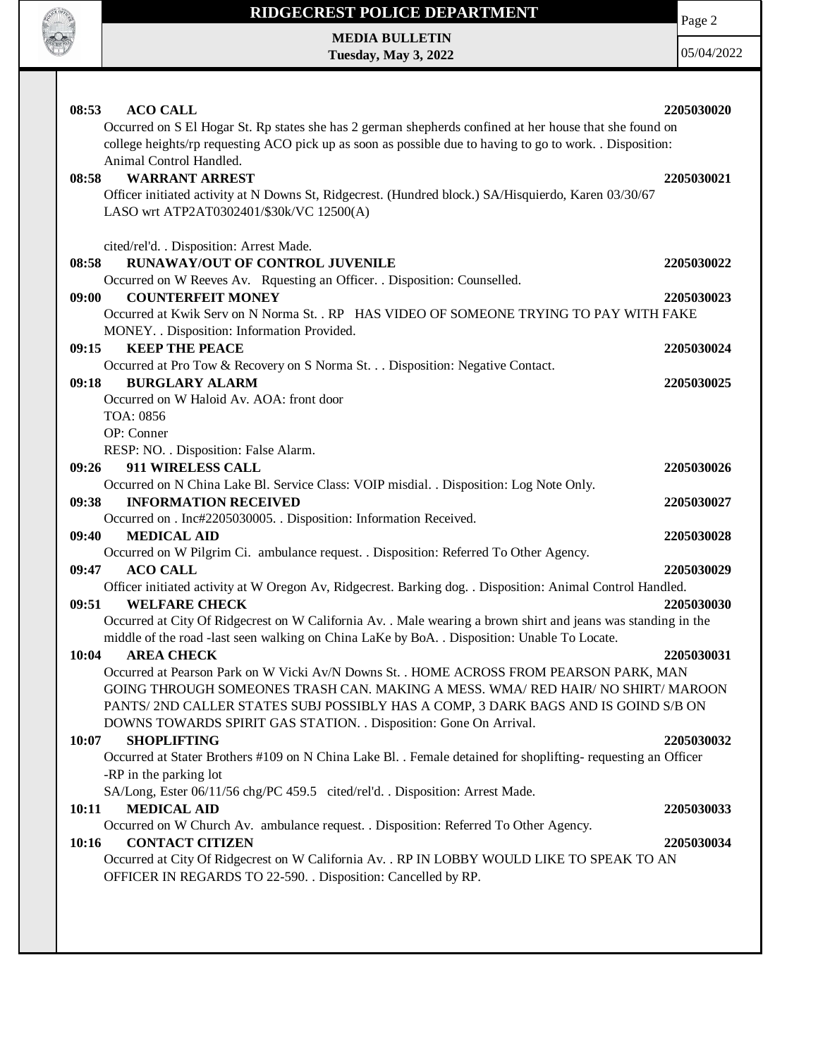

 $\mathbf{I}$ 

# **RIDGECREST POLICE DEPARTMENT MEDIA BULLETIN**

**Tuesday, May 3, 2022**

Page 2

| <b>ACO CALL</b><br>08:53                                                                                                                                                                                                                      | 2205030020 |
|-----------------------------------------------------------------------------------------------------------------------------------------------------------------------------------------------------------------------------------------------|------------|
| Occurred on S El Hogar St. Rp states she has 2 german shepherds confined at her house that she found on<br>college heights/rp requesting ACO pick up as soon as possible due to having to go to work. Disposition:<br>Animal Control Handled. |            |
| <b>WARRANT ARREST</b><br>08:58                                                                                                                                                                                                                | 2205030021 |
| Officer initiated activity at N Downs St, Ridgecrest. (Hundred block.) SA/Hisquierdo, Karen 03/30/67                                                                                                                                          |            |
| LASO wrt ATP2AT0302401/\$30k/VC 12500(A)                                                                                                                                                                                                      |            |
| cited/rel'd. . Disposition: Arrest Made.                                                                                                                                                                                                      |            |
| RUNAWAY/OUT OF CONTROL JUVENILE<br>08:58                                                                                                                                                                                                      | 2205030022 |
| Occurred on W Reeves Av. Rquesting an Officer. . Disposition: Counselled.                                                                                                                                                                     |            |
| <b>COUNTERFEIT MONEY</b><br>09:00<br>Occurred at Kwik Serv on N Norma St. . RP HAS VIDEO OF SOMEONE TRYING TO PAY WITH FAKE                                                                                                                   | 2205030023 |
| MONEY. . Disposition: Information Provided.                                                                                                                                                                                                   |            |
| <b>KEEP THE PEACE</b><br>09:15                                                                                                                                                                                                                | 2205030024 |
| Occurred at Pro Tow & Recovery on S Norma St. Disposition: Negative Contact.                                                                                                                                                                  |            |
| <b>BURGLARY ALARM</b><br>09:18                                                                                                                                                                                                                | 2205030025 |
| Occurred on W Haloid Av. AOA: front door                                                                                                                                                                                                      |            |
| TOA: 0856                                                                                                                                                                                                                                     |            |
| OP: Conner                                                                                                                                                                                                                                    |            |
| RESP: NO. . Disposition: False Alarm.                                                                                                                                                                                                         |            |
| 911 WIRELESS CALL<br>09:26                                                                                                                                                                                                                    | 2205030026 |
| Occurred on N China Lake Bl. Service Class: VOIP misdial. . Disposition: Log Note Only.                                                                                                                                                       |            |
| 09:38<br><b>INFORMATION RECEIVED</b>                                                                                                                                                                                                          | 2205030027 |
| Occurred on . Inc#2205030005. . Disposition: Information Received.                                                                                                                                                                            |            |
| 09:40<br><b>MEDICAL AID</b>                                                                                                                                                                                                                   | 2205030028 |
| Occurred on W Pilgrim Ci. ambulance request. . Disposition: Referred To Other Agency.                                                                                                                                                         |            |
| 09:47<br><b>ACO CALL</b>                                                                                                                                                                                                                      | 2205030029 |
| Officer initiated activity at W Oregon Av, Ridgecrest. Barking dog. . Disposition: Animal Control Handled.<br>09:51<br><b>WELFARE CHECK</b>                                                                                                   |            |
| Occurred at City Of Ridgecrest on W California Av. . Male wearing a brown shirt and jeans was standing in the                                                                                                                                 | 2205030030 |
| middle of the road -last seen walking on China LaKe by BoA. . Disposition: Unable To Locate.                                                                                                                                                  |            |
| <b>AREA CHECK</b><br>10:04                                                                                                                                                                                                                    | 2205030031 |
| Occurred at Pearson Park on W Vicki Av/N Downs St. . HOME ACROSS FROM PEARSON PARK, MAN                                                                                                                                                       |            |
| GOING THROUGH SOMEONES TRASH CAN. MAKING A MESS. WMA/ RED HAIR/ NO SHIRT/ MAROON                                                                                                                                                              |            |
| PANTS/2ND CALLER STATES SUBJ POSSIBLY HAS A COMP, 3 DARK BAGS AND IS GOIND S/B ON                                                                                                                                                             |            |
| DOWNS TOWARDS SPIRIT GAS STATION. . Disposition: Gone On Arrival.                                                                                                                                                                             |            |
| 10:07<br><b>SHOPLIFTING</b>                                                                                                                                                                                                                   | 2205030032 |
| Occurred at Stater Brothers #109 on N China Lake Bl. . Female detained for shoplifting-requesting an Officer                                                                                                                                  |            |
| -RP in the parking lot                                                                                                                                                                                                                        |            |
| SA/Long, Ester 06/11/56 chg/PC 459.5 cited/rel'd. . Disposition: Arrest Made.                                                                                                                                                                 |            |
| <b>MEDICAL AID</b><br>10:11                                                                                                                                                                                                                   | 2205030033 |
| Occurred on W Church Av. ambulance request. . Disposition: Referred To Other Agency.                                                                                                                                                          |            |
| <b>CONTACT CITIZEN</b><br>10:16                                                                                                                                                                                                               | 2205030034 |
| Occurred at City Of Ridgecrest on W California Av. . RP IN LOBBY WOULD LIKE TO SPEAK TO AN<br>OFFICER IN REGARDS TO 22-590. . Disposition: Cancelled by RP.                                                                                   |            |
|                                                                                                                                                                                                                                               |            |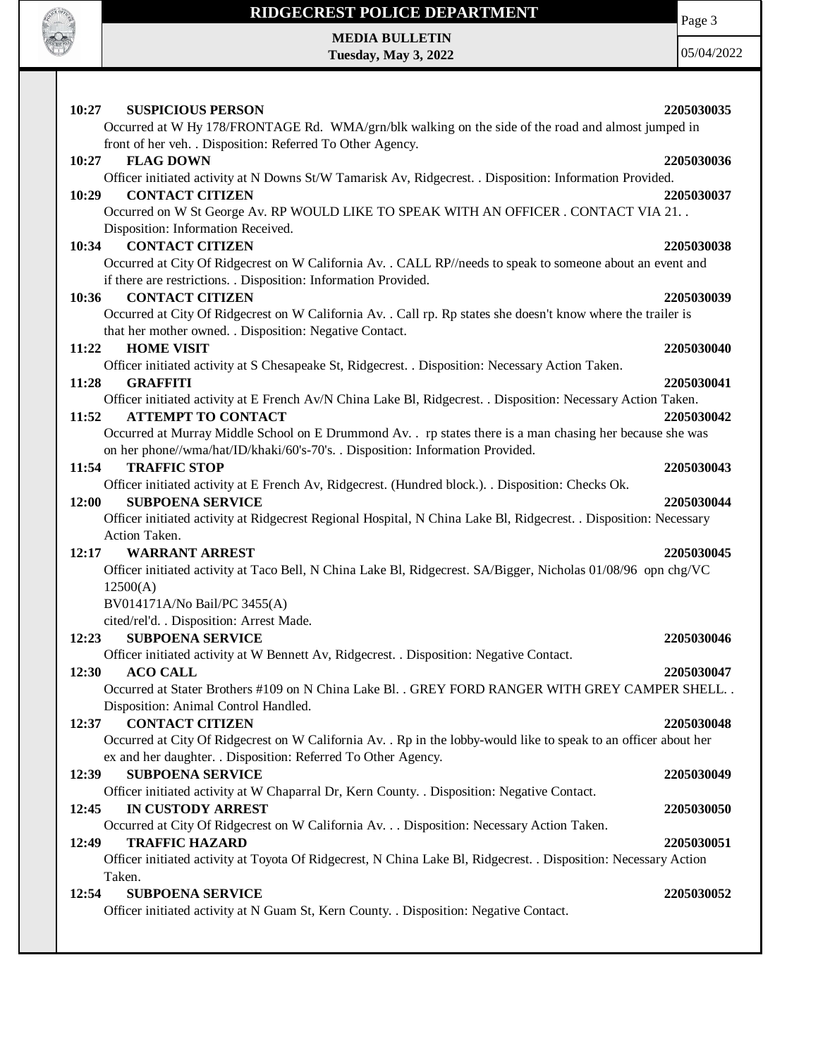

**Tuesday, May 3, 2022**

Page 3

| 10:27<br><b>SUSPICIOUS PERSON</b>                                                                                                                                                           | 2205030035 |
|---------------------------------------------------------------------------------------------------------------------------------------------------------------------------------------------|------------|
| Occurred at W Hy 178/FRONTAGE Rd. WMA/grn/blk walking on the side of the road and almost jumped in                                                                                          |            |
| front of her veh. . Disposition: Referred To Other Agency.                                                                                                                                  |            |
| <b>FLAG DOWN</b><br>10:27                                                                                                                                                                   | 2205030036 |
| Officer initiated activity at N Downs St/W Tamarisk Av, Ridgecrest. . Disposition: Information Provided.                                                                                    |            |
| <b>CONTACT CITIZEN</b><br>10:29                                                                                                                                                             | 2205030037 |
| Occurred on W St George Av. RP WOULD LIKE TO SPEAK WITH AN OFFICER . CONTACT VIA 21. .                                                                                                      |            |
| Disposition: Information Received.                                                                                                                                                          |            |
| <b>CONTACT CITIZEN</b><br>10:34                                                                                                                                                             | 2205030038 |
| Occurred at City Of Ridgecrest on W California Av. . CALL RP//needs to speak to someone about an event and                                                                                  |            |
| if there are restrictions. . Disposition: Information Provided.                                                                                                                             |            |
| <b>CONTACT CITIZEN</b><br>10:36                                                                                                                                                             | 2205030039 |
| Occurred at City Of Ridgecrest on W California Av. . Call rp. Rp states she doesn't know where the trailer is                                                                               |            |
| that her mother owned. . Disposition: Negative Contact.                                                                                                                                     |            |
| <b>HOME VISIT</b><br>11:22                                                                                                                                                                  | 2205030040 |
| Officer initiated activity at S Chesapeake St, Ridgecrest. . Disposition: Necessary Action Taken.                                                                                           |            |
| 11:28<br><b>GRAFFITI</b>                                                                                                                                                                    | 2205030041 |
| Officer initiated activity at E French Av/N China Lake Bl, Ridgecrest. . Disposition: Necessary Action Taken.                                                                               |            |
| 11:52<br><b>ATTEMPT TO CONTACT</b>                                                                                                                                                          | 2205030042 |
| Occurred at Murray Middle School on E Drummond Av. . rp states there is a man chasing her because she was<br>on her phone//wma/hat/ID/khaki/60's-70's. . Disposition: Information Provided. |            |
| <b>TRAFFIC STOP</b><br>11:54                                                                                                                                                                | 2205030043 |
| Officer initiated activity at E French Av, Ridgecrest. (Hundred block.). . Disposition: Checks Ok.                                                                                          |            |
| <b>SUBPOENA SERVICE</b><br>12:00                                                                                                                                                            | 2205030044 |
| Officer initiated activity at Ridgecrest Regional Hospital, N China Lake Bl, Ridgecrest. . Disposition: Necessary                                                                           |            |
| Action Taken.                                                                                                                                                                               |            |
| <b>WARRANT ARREST</b><br>12:17                                                                                                                                                              | 2205030045 |
| Officer initiated activity at Taco Bell, N China Lake Bl, Ridgecrest. SA/Bigger, Nicholas 01/08/96 opn chg/VC                                                                               |            |
| 12500(A)                                                                                                                                                                                    |            |
| BV014171A/No Bail/PC 3455(A)                                                                                                                                                                |            |
| cited/rel'd. . Disposition: Arrest Made.                                                                                                                                                    |            |
| <b>SUBPOENA SERVICE</b><br>12:23                                                                                                                                                            | 2205030046 |
| Officer initiated activity at W Bennett Av, Ridgecrest. . Disposition: Negative Contact.                                                                                                    |            |
| <b>ACO CALL</b><br>12:30                                                                                                                                                                    | 2205030047 |
| Occurred at Stater Brothers #109 on N China Lake Bl. . GREY FORD RANGER WITH GREY CAMPER SHELL.                                                                                             |            |
| Disposition: Animal Control Handled.                                                                                                                                                        |            |
| <b>CONTACT CITIZEN</b><br>12:37                                                                                                                                                             | 2205030048 |
| Occurred at City Of Ridgecrest on W California Av. . Rp in the lobby-would like to speak to an officer about her                                                                            |            |
| ex and her daughter. . Disposition: Referred To Other Agency.                                                                                                                               |            |
| <b>SUBPOENA SERVICE</b><br>12:39                                                                                                                                                            | 2205030049 |
| Officer initiated activity at W Chaparral Dr, Kern County. . Disposition: Negative Contact.                                                                                                 |            |
| <b>IN CUSTODY ARREST</b><br>12:45                                                                                                                                                           | 2205030050 |
| Occurred at City Of Ridgecrest on W California Av. Disposition: Necessary Action Taken.                                                                                                     |            |
| <b>TRAFFIC HAZARD</b><br>12:49                                                                                                                                                              | 2205030051 |
| Officer initiated activity at Toyota Of Ridgecrest, N China Lake Bl, Ridgecrest. . Disposition: Necessary Action                                                                            |            |
| Taken.                                                                                                                                                                                      |            |
| <b>SUBPOENA SERVICE</b><br>12:54                                                                                                                                                            | 2205030052 |
| Officer initiated activity at N Guam St, Kern County. . Disposition: Negative Contact.                                                                                                      |            |
|                                                                                                                                                                                             |            |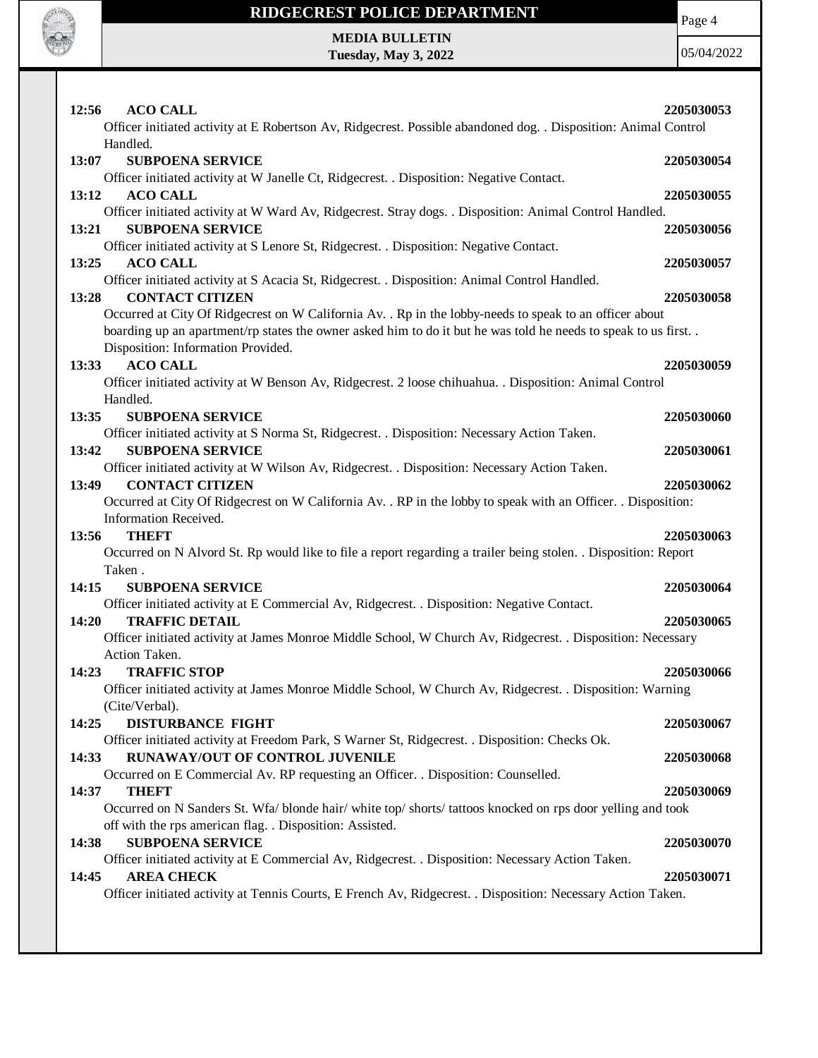

**Tuesday, May 3, 2022**

Page 4

| 12:56<br><b>ACO CALL</b>                                                                                                         | 2205030053 |
|----------------------------------------------------------------------------------------------------------------------------------|------------|
| Officer initiated activity at E Robertson Av, Ridgecrest. Possible abandoned dog. . Disposition: Animal Control                  |            |
| Handled.                                                                                                                         |            |
| <b>SUBPOENA SERVICE</b><br>13:07                                                                                                 | 2205030054 |
| Officer initiated activity at W Janelle Ct, Ridgecrest. . Disposition: Negative Contact.                                         |            |
| 13:12<br><b>ACO CALL</b>                                                                                                         | 2205030055 |
| Officer initiated activity at W Ward Av, Ridgecrest. Stray dogs. . Disposition: Animal Control Handled.                          |            |
| <b>SUBPOENA SERVICE</b><br>13:21                                                                                                 | 2205030056 |
| Officer initiated activity at S Lenore St, Ridgecrest. . Disposition: Negative Contact.<br>13:25<br><b>ACO CALL</b>              | 2205030057 |
| Officer initiated activity at S Acacia St, Ridgecrest. . Disposition: Animal Control Handled.                                    |            |
| <b>CONTACT CITIZEN</b><br>13:28                                                                                                  | 2205030058 |
| Occurred at City Of Ridgecrest on W California Av. . Rp in the lobby-needs to speak to an officer about                          |            |
| boarding up an apartment/rp states the owner asked him to do it but he was told he needs to speak to us first                    |            |
| Disposition: Information Provided.                                                                                               |            |
| <b>ACO CALL</b><br>13:33                                                                                                         | 2205030059 |
| Officer initiated activity at W Benson Av, Ridgecrest. 2 loose chihuahua. . Disposition: Animal Control                          |            |
| Handled.                                                                                                                         |            |
| 13:35<br><b>SUBPOENA SERVICE</b>                                                                                                 | 2205030060 |
| Officer initiated activity at S Norma St, Ridgecrest. . Disposition: Necessary Action Taken.<br>13:42<br><b>SUBPOENA SERVICE</b> | 2205030061 |
| Officer initiated activity at W Wilson Av, Ridgecrest. . Disposition: Necessary Action Taken.                                    |            |
| 13:49<br><b>CONTACT CITIZEN</b>                                                                                                  | 2205030062 |
| Occurred at City Of Ridgecrest on W California Av. . RP in the lobby to speak with an Officer. . Disposition:                    |            |
| Information Received.                                                                                                            |            |
| <b>THEFT</b><br>13:56                                                                                                            | 2205030063 |
| Occurred on N Alvord St. Rp would like to file a report regarding a trailer being stolen. . Disposition: Report                  |            |
| Taken.                                                                                                                           |            |
| 14:15<br><b>SUBPOENA SERVICE</b>                                                                                                 | 2205030064 |
| Officer initiated activity at E Commercial Av, Ridgecrest. . Disposition: Negative Contact.                                      |            |
| <b>TRAFFIC DETAIL</b><br>14:20                                                                                                   | 2205030065 |
| Officer initiated activity at James Monroe Middle School, W Church Av, Ridgecrest. . Disposition: Necessary<br>Action Taken.     |            |
| 14:23<br><b>TRAFFIC STOP</b>                                                                                                     | 2205030066 |
| Officer initiated activity at James Monroe Middle School, W Church Av, Ridgecrest. . Disposition: Warning                        |            |
| (Cite/Verbal).                                                                                                                   |            |
| 14:25<br><b>DISTURBANCE FIGHT</b>                                                                                                | 2205030067 |
| Officer initiated activity at Freedom Park, S Warner St, Ridgecrest. . Disposition: Checks Ok.                                   |            |
| RUNAWAY/OUT OF CONTROL JUVENILE<br>14:33                                                                                         | 2205030068 |
| Occurred on E Commercial Av. RP requesting an Officer. . Disposition: Counselled.                                                |            |
| <b>THEFT</b><br>14:37                                                                                                            | 2205030069 |
| Occurred on N Sanders St. Wfa/ blonde hair/ white top/ shorts/ tattoos knocked on rps door yelling and took                      |            |
| off with the rps american flag. . Disposition: Assisted.                                                                         |            |
| <b>SUBPOENA SERVICE</b><br>14:38                                                                                                 | 2205030070 |
| Officer initiated activity at E Commercial Av, Ridgecrest. . Disposition: Necessary Action Taken.<br>14:45<br><b>AREA CHECK</b>  | 2205030071 |
| Officer initiated activity at Tennis Courts, E French Av, Ridgecrest. . Disposition: Necessary Action Taken.                     |            |
|                                                                                                                                  |            |
|                                                                                                                                  |            |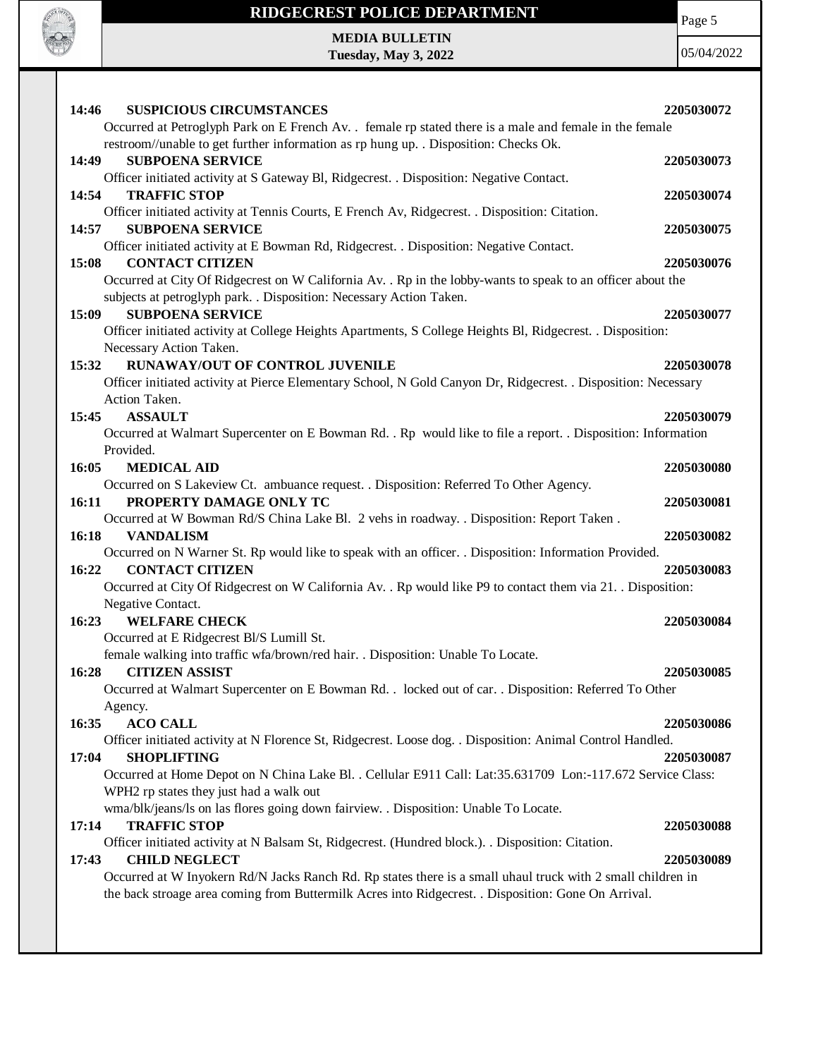

**Tuesday, May 3, 2022**

Page 5

| <b>SUSPICIOUS CIRCUMSTANCES</b><br>14:46                                                                       | 2205030072 |
|----------------------------------------------------------------------------------------------------------------|------------|
| Occurred at Petroglyph Park on E French Av. . female rp stated there is a male and female in the female        |            |
| restroom//unable to get further information as rp hung up. . Disposition: Checks Ok.                           |            |
| 14:49<br><b>SUBPOENA SERVICE</b>                                                                               | 2205030073 |
| Officer initiated activity at S Gateway Bl, Ridgecrest. . Disposition: Negative Contact.                       |            |
| 14:54<br><b>TRAFFIC STOP</b>                                                                                   | 2205030074 |
| Officer initiated activity at Tennis Courts, E French Av, Ridgecrest. . Disposition: Citation.                 |            |
| <b>SUBPOENA SERVICE</b><br>14:57                                                                               | 2205030075 |
| Officer initiated activity at E Bowman Rd, Ridgecrest. . Disposition: Negative Contact.                        |            |
| <b>CONTACT CITIZEN</b><br>15:08                                                                                | 2205030076 |
| Occurred at City Of Ridgecrest on W California Av. . Rp in the lobby-wants to speak to an officer about the    |            |
| subjects at petroglyph park. . Disposition: Necessary Action Taken.                                            |            |
| <b>SUBPOENA SERVICE</b><br>15:09                                                                               | 2205030077 |
| Officer initiated activity at College Heights Apartments, S College Heights Bl, Ridgecrest. . Disposition:     |            |
| Necessary Action Taken.                                                                                        |            |
| <b>RUNAWAY/OUT OF CONTROL JUVENILE</b><br>15:32                                                                | 2205030078 |
| Officer initiated activity at Pierce Elementary School, N Gold Canyon Dr, Ridgecrest. . Disposition: Necessary |            |
| Action Taken.                                                                                                  |            |
| <b>ASSAULT</b><br>15:45                                                                                        | 2205030079 |
| Occurred at Walmart Supercenter on E Bowman Rd. . Rp would like to file a report. . Disposition: Information   |            |
| Provided.                                                                                                      |            |
| 16:05<br><b>MEDICAL AID</b>                                                                                    | 2205030080 |
| Occurred on S Lakeview Ct. ambuance request. . Disposition: Referred To Other Agency.                          |            |
| PROPERTY DAMAGE ONLY TC<br>16:11                                                                               | 2205030081 |
| Occurred at W Bowman Rd/S China Lake Bl. 2 vehs in roadway. . Disposition: Report Taken.                       |            |
| 16:18<br><b>VANDALISM</b>                                                                                      | 2205030082 |
| Occurred on N Warner St. Rp would like to speak with an officer. . Disposition: Information Provided.          |            |
| 16:22<br><b>CONTACT CITIZEN</b>                                                                                | 2205030083 |
| Occurred at City Of Ridgecrest on W California Av. . Rp would like P9 to contact them via 21. . Disposition:   |            |
| Negative Contact.                                                                                              |            |
| <b>WELFARE CHECK</b><br>16:23                                                                                  | 2205030084 |
| Occurred at E Ridgecrest Bl/S Lumill St.                                                                       |            |
| female walking into traffic wfa/brown/red hair. . Disposition: Unable To Locate.                               |            |
| <b>CITIZEN ASSIST</b><br>16:28                                                                                 | 2205030085 |
| Occurred at Walmart Supercenter on E Bowman Rd. . locked out of car. . Disposition: Referred To Other          |            |
| Agency.                                                                                                        |            |
| <b>ACO CALL</b><br>16:35                                                                                       | 2205030086 |
| Officer initiated activity at N Florence St, Ridgecrest. Loose dog. . Disposition: Animal Control Handled.     |            |
| <b>SHOPLIFTING</b><br>17:04                                                                                    | 2205030087 |
| Occurred at Home Depot on N China Lake Bl. . Cellular E911 Call: Lat:35.631709 Lon:-117.672 Service Class:     |            |
| WPH2 rp states they just had a walk out                                                                        |            |
| wma/blk/jeans/ls on las flores going down fairview. . Disposition: Unable To Locate.                           |            |
| <b>TRAFFIC STOP</b><br>17:14                                                                                   | 2205030088 |
| Officer initiated activity at N Balsam St, Ridgecrest. (Hundred block.). . Disposition: Citation.              |            |
| 17:43<br><b>CHILD NEGLECT</b>                                                                                  | 2205030089 |
| Occurred at W Inyokern Rd/N Jacks Ranch Rd. Rp states there is a small uhaul truck with 2 small children in    |            |
| the back stroage area coming from Buttermilk Acres into Ridgecrest. . Disposition: Gone On Arrival.            |            |
|                                                                                                                |            |